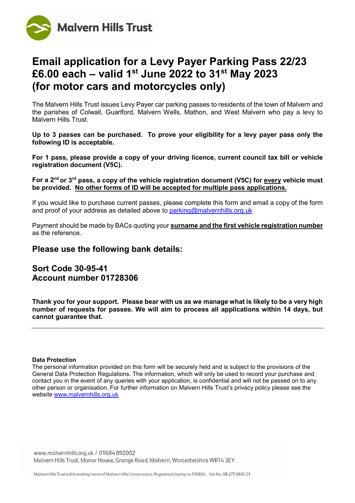

# **Email application for a Levy Payer Parking Pass 22/23 £6.00 each – valid 1st June 2022 to 31st May 2023 (for motor cars and motorcycles only)**

The Malvern Hills Trust issues Levy Payer car parking passes to residents of the town of Malvern and the parishes of Colwall, Guarlford, Malvern Wells, Mathon, and West Malvern who pay a levy to Malvern Hills Trust.

**Up to 3 passes can be purchased. To prove your eligibility for a levy payer pass only the following ID is acceptable.**

**For 1 pass, please provide a copy of your driving licence, current council tax bill or vehicle registration document (V5C).**

**For a 2nd or 3rd pass, a copy of the vehicle registration document (V5C) for every vehicle must be provided. No other forms of ID will be accepted for multiple pass applications.**

If you would like to purchase current passes, please complete this form and email a copy of the form and proof of your address as detailed above to  $parking@malvernhills.org.uk$ 

Payment should be made by BACs quoting your **surname and the first vehicle registration number** as the reference.

## **Please use the following bank details:**

## **Sort Code 30-95-41 Account number 01728306**

**Thank you for your support. Please bear with us as we manage what is likely to be a very high number of requests for passes. We will aim to process all applications within 14 days, but cannot guarantee that.**

#### **Data Protection**

www.malvernhills.org.uk / 01684 892002 Malvern Hills Trust, Manor House, Grange Road, Malvern, Worcestershire WR14 3EY

The personal information provided on this form will be securely held and is subject to the provisions of the General Data Protection Regulations. The information, which will only be used to record your purchase and contact you in the event of any queries with your application, is confidential and will not be passed on to any other person or organisation. For further information on Malvern Hills Trust's privacy policy please see the website [www.malvernhills.org.uk](http://www.malvernhills.org.uk/)